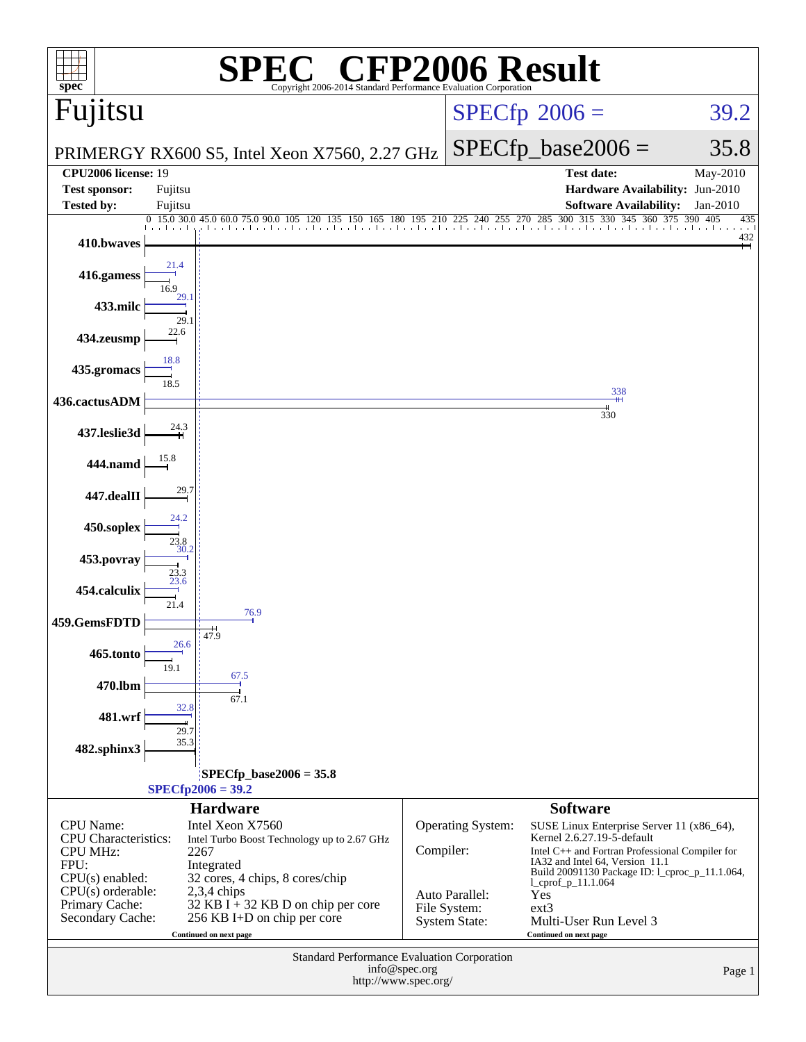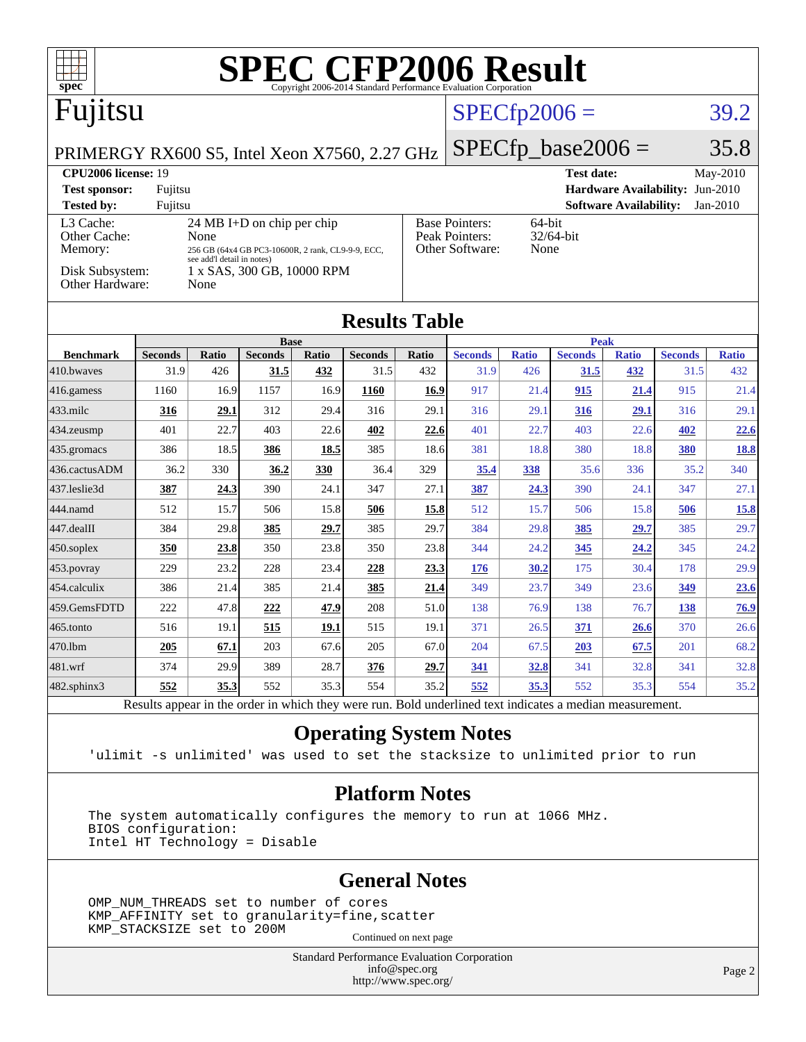| <b>SPEC CFP2006 Result</b><br>$spec^{\circ}$                                                             |                        |              |                            |              |                        |              |                                                                |                     |                                        |                               |                        |                     |
|----------------------------------------------------------------------------------------------------------|------------------------|--------------|----------------------------|--------------|------------------------|--------------|----------------------------------------------------------------|---------------------|----------------------------------------|-------------------------------|------------------------|---------------------|
| Fujitsu                                                                                                  |                        |              |                            |              | $SPECfp2006 =$         |              |                                                                | 39.2                |                                        |                               |                        |                     |
| PRIMERGY RX600 S5, Intel Xeon X7560, 2.27 GHz                                                            |                        |              |                            |              |                        |              | $SPECfp\_base2006 =$                                           |                     |                                        | 35.8                          |                        |                     |
| CPU2006 license: 19                                                                                      |                        |              |                            |              |                        |              |                                                                |                     | <b>Test date:</b>                      |                               |                        | May-2010            |
| <b>Test sponsor:</b><br>Fujitsu                                                                          |                        |              |                            |              |                        |              |                                                                |                     | <b>Hardware Availability: Jun-2010</b> |                               |                        |                     |
| <b>Tested by:</b>                                                                                        | Fujitsu                |              |                            |              |                        |              |                                                                |                     |                                        | <b>Software Availability:</b> |                        | $Jan-2010$          |
| L <sub>3</sub> Cache:                                                                                    |                        | None         | 24 MB I+D on chip per chip |              |                        |              | <b>Base Pointers:</b><br>64-bit<br>32/64-bit<br>Peak Pointers: |                     |                                        |                               |                        |                     |
| Other Cache:<br>Other Software:<br>None<br>Memory:<br>256 GB (64x4 GB PC3-10600R, 2 rank, CL9-9-9, ECC,  |                        |              |                            |              |                        |              |                                                                |                     |                                        |                               |                        |                     |
| see add'l detail in notes)<br>Disk Subsystem:<br>1 x SAS, 300 GB, 10000 RPM<br>Other Hardware:<br>None   |                        |              |                            |              |                        |              |                                                                |                     |                                        |                               |                        |                     |
| <b>Results Table</b>                                                                                     |                        |              |                            |              |                        |              |                                                                |                     |                                        |                               |                        |                     |
|                                                                                                          |                        |              | <b>Base</b>                |              |                        |              |                                                                |                     | <b>Peak</b>                            |                               |                        |                     |
| <b>Benchmark</b><br>410.bwayes                                                                           | <b>Seconds</b><br>31.9 | Ratio<br>426 | <b>Seconds</b><br>31.5     | Ratio<br>432 | <b>Seconds</b><br>31.5 | Ratio<br>432 | <b>Seconds</b><br>31.9                                         | <b>Ratio</b><br>426 | <b>Seconds</b><br>31.5                 | <b>Ratio</b><br>432           | <b>Seconds</b><br>31.5 | <b>Ratio</b><br>432 |
| 416.gamess                                                                                               | 1160                   | 16.9         | 1157                       | 16.9         | 1160                   | 16.9         | 917                                                            | 21.4                | 915                                    |                               | 915                    | 21.4                |
|                                                                                                          |                        |              | 312                        | 29.4         |                        |              | 316                                                            |                     |                                        | <u> 21.4</u>                  |                        |                     |
| $433$ .milc                                                                                              | 316                    | 29.1         |                            |              | 316                    | 29.1         |                                                                | 29.1                | 316                                    | 29.1                          | 316                    | 29.1                |
| $434$ . zeusmp                                                                                           | 401                    | 22.7         | 403                        | 22.6         | 402                    | 22.6         | 401                                                            | 22.7                | 403                                    | 22.6                          | 402                    | 22.6                |
| 435.gromacs                                                                                              | 386                    | 18.5         | 386                        | 18.5         | 385                    | 18.6         | 381                                                            | 18.8                | 380                                    | 18.8                          | 380                    | 18.8                |
| 436.cactusADM                                                                                            | 36.2                   | 330          | 36.2                       | 330          | 36.4                   | 329          | 35.4                                                           | 338                 | 35.6                                   | 336                           | 35.2                   | 340                 |
| 437.leslie3d                                                                                             | 387                    | 24.3         | 390                        | 24.1         | 347                    | 27.1         | 387                                                            | 24.3                | 390                                    | 24.1                          | 347                    | 27.1                |
| 444.namd                                                                                                 | 512                    | 15.7         | 506                        | 15.8         | 506                    | 15.8         | 512                                                            | 15.7                | 506                                    | 15.8                          | 506                    | 15.8                |
| 447.dealII                                                                                               | 384                    | 29.8         | 385                        | 29.7         | 385                    | 29.7         | 384                                                            | 29.8                | 385                                    | 29.7                          | 385                    | 29.7                |
| $450$ .soplex                                                                                            | 350                    | 23.8         | 350                        | 23.8         | 350                    | 23.8         | 344                                                            | 24.2                | 345                                    | 24.2                          | 345                    | 24.2                |
| $ 453$ . povray                                                                                          | 229                    | 23.2         | 228                        | 23.4         | 228                    | 23.3         | 176                                                            | 30.2                | 175                                    | 30.4                          | 178                    | 29.9                |
| 454.calculix                                                                                             | 386                    | 21.4         | 385                        | 21.4         | 385                    | 21.4         | 349                                                            | 23.7                | 349                                    | 23.6                          | 349                    | 23.6                |
| 459.GemsFDTD                                                                                             | 222                    | 47.8         | 222                        | 47.9         | 208                    | 51.0         | 138                                                            | 76.9                | 138                                    | 76.7                          | 138                    | 76.9                |
| 465.tonto                                                                                                | 516                    | 19.1         | 515                        | 19.1         | 515                    | 19.1         | 371                                                            | 26.5                | <u>371</u>                             | <b>26.6</b>                   | 370                    | 26.6                |
| 470.1bm                                                                                                  | 205                    | 67.1         | 203                        | 67.6         | 205                    | 67.0         | 204                                                            | 67.5                | 203                                    | 67.5                          | 201                    | 68.2                |
| 481.wrf                                                                                                  | 374                    | 29.9         | 389                        | 28.7         | 376                    | 29.7         | 341                                                            | 32.8                | 341                                    | 32.8                          | 341                    | 32.8                |
| 482.sphinx3                                                                                              | 552                    | 35.3         | 552                        | 35.3         | 554                    | 35.2         | 552                                                            | 35.3                | 552                                    | 35.3                          | 554                    | 35.2                |
| Results appear in the order in which they were run. Bold underlined text indicates a median measurement. |                        |              |                            |              |                        |              |                                                                |                     |                                        |                               |                        |                     |

#### **[Operating System Notes](http://www.spec.org/auto/cpu2006/Docs/result-fields.html#OperatingSystemNotes)**

'ulimit -s unlimited' was used to set the stacksize to unlimited prior to run

#### **[Platform Notes](http://www.spec.org/auto/cpu2006/Docs/result-fields.html#PlatformNotes)**

 The system automatically configures the memory to run at 1066 MHz. BIOS configuration: Intel HT Technology = Disable

#### **[General Notes](http://www.spec.org/auto/cpu2006/Docs/result-fields.html#GeneralNotes)**

 OMP\_NUM\_THREADS set to number of cores KMP\_AFFINITY set to granularity=fine,scatter KMP\_STACKSIZE set to 200M

Continued on next page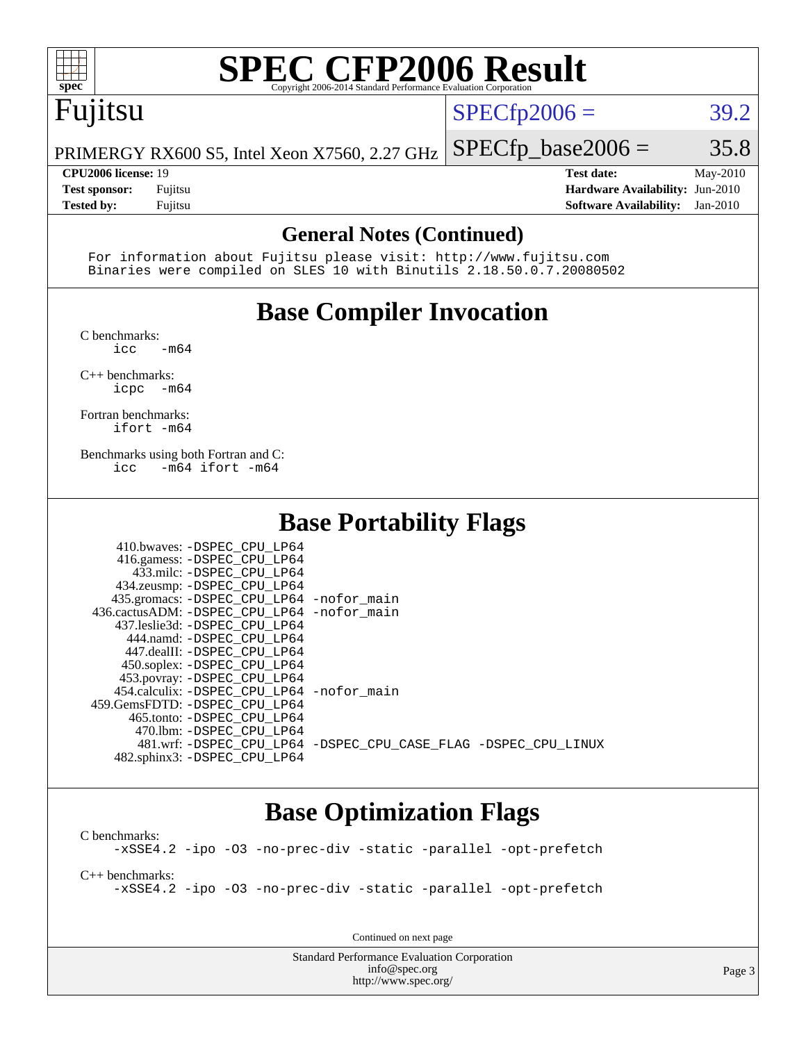

# **[SPEC CFP2006 Result](http://www.spec.org/auto/cpu2006/Docs/result-fields.html#SPECCFP2006Result)**

## Fujitsu

 $SPECTp2006 = 39.2$ 

PRIMERGY RX600 S5, Intel Xeon X7560, 2.27 GHz  $SPECTp\_base2006 = 35.8$ 

**[CPU2006 license:](http://www.spec.org/auto/cpu2006/Docs/result-fields.html#CPU2006license)** 19 **[Test date:](http://www.spec.org/auto/cpu2006/Docs/result-fields.html#Testdate)** May-2010 **[Test sponsor:](http://www.spec.org/auto/cpu2006/Docs/result-fields.html#Testsponsor)** Fujitsu **[Hardware Availability:](http://www.spec.org/auto/cpu2006/Docs/result-fields.html#HardwareAvailability)** Jun-2010 **[Tested by:](http://www.spec.org/auto/cpu2006/Docs/result-fields.html#Testedby)** Fujitsu **[Software Availability:](http://www.spec.org/auto/cpu2006/Docs/result-fields.html#SoftwareAvailability)** Jan-2010

#### **[General Notes \(Continued\)](http://www.spec.org/auto/cpu2006/Docs/result-fields.html#GeneralNotes)**

 For information about Fujitsu please visit: <http://www.fujitsu.com> Binaries were compiled on SLES 10 with Binutils 2.18.50.0.7.20080502

### **[Base Compiler Invocation](http://www.spec.org/auto/cpu2006/Docs/result-fields.html#BaseCompilerInvocation)**

[C benchmarks](http://www.spec.org/auto/cpu2006/Docs/result-fields.html#Cbenchmarks):

 $\text{icc}$  -m64

[C++ benchmarks:](http://www.spec.org/auto/cpu2006/Docs/result-fields.html#CXXbenchmarks) [icpc -m64](http://www.spec.org/cpu2006/results/res2010q3/cpu2006-20100702-12039.flags.html#user_CXXbase_intel_icpc_64bit_bedb90c1146cab66620883ef4f41a67e)

[Fortran benchmarks](http://www.spec.org/auto/cpu2006/Docs/result-fields.html#Fortranbenchmarks): [ifort -m64](http://www.spec.org/cpu2006/results/res2010q3/cpu2006-20100702-12039.flags.html#user_FCbase_intel_ifort_64bit_ee9d0fb25645d0210d97eb0527dcc06e)

[Benchmarks using both Fortran and C](http://www.spec.org/auto/cpu2006/Docs/result-fields.html#BenchmarksusingbothFortranandC): [icc -m64](http://www.spec.org/cpu2006/results/res2010q3/cpu2006-20100702-12039.flags.html#user_CC_FCbase_intel_icc_64bit_0b7121f5ab7cfabee23d88897260401c) [ifort -m64](http://www.spec.org/cpu2006/results/res2010q3/cpu2006-20100702-12039.flags.html#user_CC_FCbase_intel_ifort_64bit_ee9d0fb25645d0210d97eb0527dcc06e)

#### **[Base Portability Flags](http://www.spec.org/auto/cpu2006/Docs/result-fields.html#BasePortabilityFlags)**

| 410.bwaves: -DSPEC CPU LP64                  |                                                                |
|----------------------------------------------|----------------------------------------------------------------|
| 416.gamess: -DSPEC_CPU_LP64                  |                                                                |
| 433.milc: -DSPEC CPU LP64                    |                                                                |
| 434.zeusmp: -DSPEC_CPU_LP64                  |                                                                |
| 435.gromacs: -DSPEC_CPU_LP64 -nofor_main     |                                                                |
| 436.cactusADM: - DSPEC CPU LP64 - nofor main |                                                                |
| 437.leslie3d: -DSPEC CPU LP64                |                                                                |
| 444.namd: -DSPEC CPU LP64                    |                                                                |
| 447.dealII: -DSPEC CPU LP64                  |                                                                |
| 450.soplex: -DSPEC_CPU_LP64                  |                                                                |
| 453.povray: -DSPEC_CPU_LP64                  |                                                                |
| 454.calculix: - DSPEC CPU LP64 - nofor main  |                                                                |
| 459. GemsFDTD: - DSPEC CPU LP64              |                                                                |
| 465.tonto: - DSPEC CPU LP64                  |                                                                |
| 470.1bm: - DSPEC CPU LP64                    |                                                                |
|                                              | 481.wrf: -DSPEC CPU_LP64 -DSPEC_CPU_CASE_FLAG -DSPEC_CPU_LINUX |
| 482.sphinx3: -DSPEC_CPU_LP64                 |                                                                |

#### **[Base Optimization Flags](http://www.spec.org/auto/cpu2006/Docs/result-fields.html#BaseOptimizationFlags)**

[C benchmarks](http://www.spec.org/auto/cpu2006/Docs/result-fields.html#Cbenchmarks): [-xSSE4.2](http://www.spec.org/cpu2006/results/res2010q3/cpu2006-20100702-12039.flags.html#user_CCbase_f-xSSE42_f91528193cf0b216347adb8b939d4107) [-ipo](http://www.spec.org/cpu2006/results/res2010q3/cpu2006-20100702-12039.flags.html#user_CCbase_f-ipo) [-O3](http://www.spec.org/cpu2006/results/res2010q3/cpu2006-20100702-12039.flags.html#user_CCbase_f-O3) [-no-prec-div](http://www.spec.org/cpu2006/results/res2010q3/cpu2006-20100702-12039.flags.html#user_CCbase_f-no-prec-div) [-static](http://www.spec.org/cpu2006/results/res2010q3/cpu2006-20100702-12039.flags.html#user_CCbase_f-static) [-parallel](http://www.spec.org/cpu2006/results/res2010q3/cpu2006-20100702-12039.flags.html#user_CCbase_f-parallel) [-opt-prefetch](http://www.spec.org/cpu2006/results/res2010q3/cpu2006-20100702-12039.flags.html#user_CCbase_f-opt-prefetch)

[C++ benchmarks:](http://www.spec.org/auto/cpu2006/Docs/result-fields.html#CXXbenchmarks)

[-xSSE4.2](http://www.spec.org/cpu2006/results/res2010q3/cpu2006-20100702-12039.flags.html#user_CXXbase_f-xSSE42_f91528193cf0b216347adb8b939d4107) [-ipo](http://www.spec.org/cpu2006/results/res2010q3/cpu2006-20100702-12039.flags.html#user_CXXbase_f-ipo) [-O3](http://www.spec.org/cpu2006/results/res2010q3/cpu2006-20100702-12039.flags.html#user_CXXbase_f-O3) [-no-prec-div](http://www.spec.org/cpu2006/results/res2010q3/cpu2006-20100702-12039.flags.html#user_CXXbase_f-no-prec-div) [-static](http://www.spec.org/cpu2006/results/res2010q3/cpu2006-20100702-12039.flags.html#user_CXXbase_f-static) [-parallel](http://www.spec.org/cpu2006/results/res2010q3/cpu2006-20100702-12039.flags.html#user_CXXbase_f-parallel) [-opt-prefetch](http://www.spec.org/cpu2006/results/res2010q3/cpu2006-20100702-12039.flags.html#user_CXXbase_f-opt-prefetch)

Continued on next page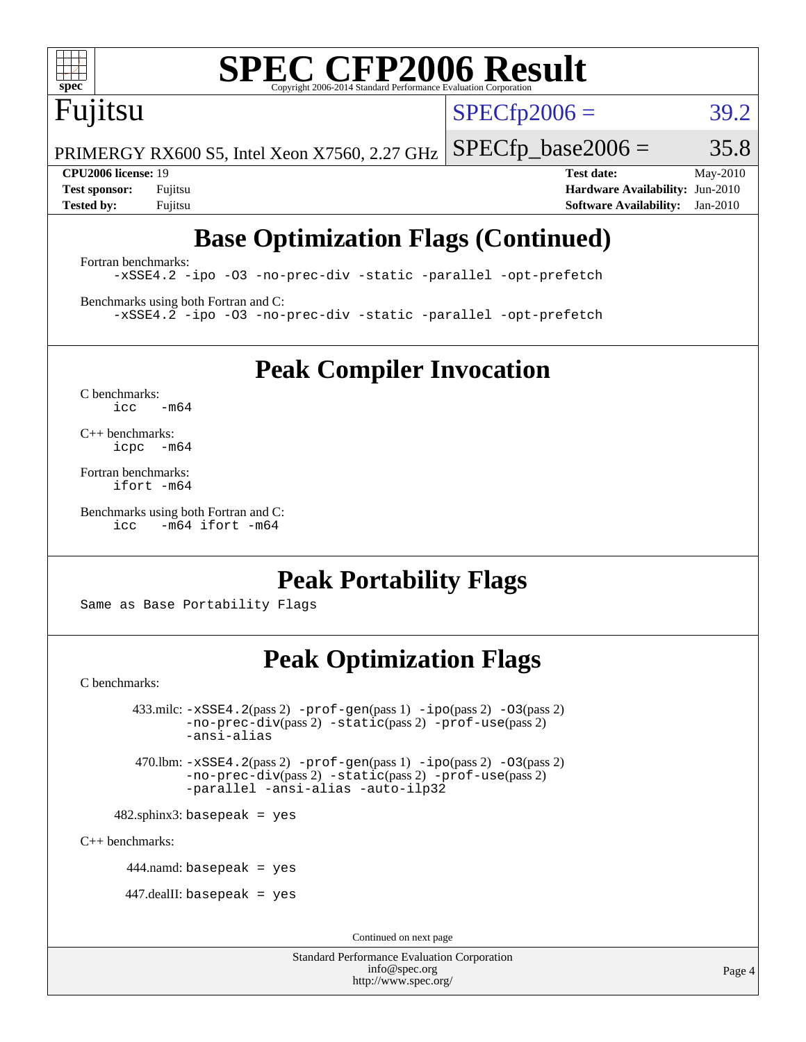

# **[SPEC CFP2006 Result](http://www.spec.org/auto/cpu2006/Docs/result-fields.html#SPECCFP2006Result)**

# Fujitsu

 $SPECTp2006 = 39.2$ 

PRIMERGY RX600 S5, Intel Xeon X7560, 2.27 GHz  $SPECTp\_base2006 = 35.8$ 

**[CPU2006 license:](http://www.spec.org/auto/cpu2006/Docs/result-fields.html#CPU2006license)** 19 **[Test date:](http://www.spec.org/auto/cpu2006/Docs/result-fields.html#Testdate)** May-2010 **[Test sponsor:](http://www.spec.org/auto/cpu2006/Docs/result-fields.html#Testsponsor)** Fujitsu **[Hardware Availability:](http://www.spec.org/auto/cpu2006/Docs/result-fields.html#HardwareAvailability)** Jun-2010 **[Tested by:](http://www.spec.org/auto/cpu2006/Docs/result-fields.html#Testedby)** Fujitsu **[Software Availability:](http://www.spec.org/auto/cpu2006/Docs/result-fields.html#SoftwareAvailability)** Jan-2010

## **[Base Optimization Flags \(Continued\)](http://www.spec.org/auto/cpu2006/Docs/result-fields.html#BaseOptimizationFlags)**

[Fortran benchmarks](http://www.spec.org/auto/cpu2006/Docs/result-fields.html#Fortranbenchmarks): [-xSSE4.2](http://www.spec.org/cpu2006/results/res2010q3/cpu2006-20100702-12039.flags.html#user_FCbase_f-xSSE42_f91528193cf0b216347adb8b939d4107) [-ipo](http://www.spec.org/cpu2006/results/res2010q3/cpu2006-20100702-12039.flags.html#user_FCbase_f-ipo) [-O3](http://www.spec.org/cpu2006/results/res2010q3/cpu2006-20100702-12039.flags.html#user_FCbase_f-O3) [-no-prec-div](http://www.spec.org/cpu2006/results/res2010q3/cpu2006-20100702-12039.flags.html#user_FCbase_f-no-prec-div) [-static](http://www.spec.org/cpu2006/results/res2010q3/cpu2006-20100702-12039.flags.html#user_FCbase_f-static) [-parallel](http://www.spec.org/cpu2006/results/res2010q3/cpu2006-20100702-12039.flags.html#user_FCbase_f-parallel) [-opt-prefetch](http://www.spec.org/cpu2006/results/res2010q3/cpu2006-20100702-12039.flags.html#user_FCbase_f-opt-prefetch)

[Benchmarks using both Fortran and C](http://www.spec.org/auto/cpu2006/Docs/result-fields.html#BenchmarksusingbothFortranandC): [-xSSE4.2](http://www.spec.org/cpu2006/results/res2010q3/cpu2006-20100702-12039.flags.html#user_CC_FCbase_f-xSSE42_f91528193cf0b216347adb8b939d4107) [-ipo](http://www.spec.org/cpu2006/results/res2010q3/cpu2006-20100702-12039.flags.html#user_CC_FCbase_f-ipo) [-O3](http://www.spec.org/cpu2006/results/res2010q3/cpu2006-20100702-12039.flags.html#user_CC_FCbase_f-O3) [-no-prec-div](http://www.spec.org/cpu2006/results/res2010q3/cpu2006-20100702-12039.flags.html#user_CC_FCbase_f-no-prec-div) [-static](http://www.spec.org/cpu2006/results/res2010q3/cpu2006-20100702-12039.flags.html#user_CC_FCbase_f-static) [-parallel](http://www.spec.org/cpu2006/results/res2010q3/cpu2006-20100702-12039.flags.html#user_CC_FCbase_f-parallel) [-opt-prefetch](http://www.spec.org/cpu2006/results/res2010q3/cpu2006-20100702-12039.flags.html#user_CC_FCbase_f-opt-prefetch)

**[Peak Compiler Invocation](http://www.spec.org/auto/cpu2006/Docs/result-fields.html#PeakCompilerInvocation)**

[C benchmarks](http://www.spec.org/auto/cpu2006/Docs/result-fields.html#Cbenchmarks):  $icc$   $-m64$ 

[C++ benchmarks:](http://www.spec.org/auto/cpu2006/Docs/result-fields.html#CXXbenchmarks) [icpc -m64](http://www.spec.org/cpu2006/results/res2010q3/cpu2006-20100702-12039.flags.html#user_CXXpeak_intel_icpc_64bit_bedb90c1146cab66620883ef4f41a67e)

[Fortran benchmarks](http://www.spec.org/auto/cpu2006/Docs/result-fields.html#Fortranbenchmarks): [ifort -m64](http://www.spec.org/cpu2006/results/res2010q3/cpu2006-20100702-12039.flags.html#user_FCpeak_intel_ifort_64bit_ee9d0fb25645d0210d97eb0527dcc06e)

[Benchmarks using both Fortran and C](http://www.spec.org/auto/cpu2006/Docs/result-fields.html#BenchmarksusingbothFortranandC): [icc -m64](http://www.spec.org/cpu2006/results/res2010q3/cpu2006-20100702-12039.flags.html#user_CC_FCpeak_intel_icc_64bit_0b7121f5ab7cfabee23d88897260401c) [ifort -m64](http://www.spec.org/cpu2006/results/res2010q3/cpu2006-20100702-12039.flags.html#user_CC_FCpeak_intel_ifort_64bit_ee9d0fb25645d0210d97eb0527dcc06e)

### **[Peak Portability Flags](http://www.spec.org/auto/cpu2006/Docs/result-fields.html#PeakPortabilityFlags)**

Same as Base Portability Flags

### **[Peak Optimization Flags](http://www.spec.org/auto/cpu2006/Docs/result-fields.html#PeakOptimizationFlags)**

[C benchmarks](http://www.spec.org/auto/cpu2006/Docs/result-fields.html#Cbenchmarks):

 $433 \text{.}$ milc:  $-xSSE4$ .  $2(pass 2)$  - $prof-gen(pass 1)$  - $ipo(pass 2)$  [-O3](http://www.spec.org/cpu2006/results/res2010q3/cpu2006-20100702-12039.flags.html#user_peakPASS2_CFLAGSPASS2_LDFLAGS433_milc_f-O3) $(pass 2)$ [-no-prec-div](http://www.spec.org/cpu2006/results/res2010q3/cpu2006-20100702-12039.flags.html#user_peakPASS2_CFLAGSPASS2_LDFLAGS433_milc_f-no-prec-div)(pass 2) [-static](http://www.spec.org/cpu2006/results/res2010q3/cpu2006-20100702-12039.flags.html#user_peakPASS2_CFLAGSPASS2_LDFLAGS433_milc_f-static)(pass 2) [-prof-use](http://www.spec.org/cpu2006/results/res2010q3/cpu2006-20100702-12039.flags.html#user_peakPASS2_CFLAGSPASS2_LDFLAGS433_milc_prof_use_bccf7792157ff70d64e32fe3e1250b55)(pass 2) [-ansi-alias](http://www.spec.org/cpu2006/results/res2010q3/cpu2006-20100702-12039.flags.html#user_peakOPTIMIZE433_milc_f-ansi-alias)

 470.lbm: [-xSSE4.2](http://www.spec.org/cpu2006/results/res2010q3/cpu2006-20100702-12039.flags.html#user_peakPASS2_CFLAGSPASS2_LDFLAGS470_lbm_f-xSSE42_f91528193cf0b216347adb8b939d4107)(pass 2) [-prof-gen](http://www.spec.org/cpu2006/results/res2010q3/cpu2006-20100702-12039.flags.html#user_peakPASS1_CFLAGSPASS1_LDFLAGS470_lbm_prof_gen_e43856698f6ca7b7e442dfd80e94a8fc)(pass 1) [-ipo](http://www.spec.org/cpu2006/results/res2010q3/cpu2006-20100702-12039.flags.html#user_peakPASS2_CFLAGSPASS2_LDFLAGS470_lbm_f-ipo)(pass 2) [-O3](http://www.spec.org/cpu2006/results/res2010q3/cpu2006-20100702-12039.flags.html#user_peakPASS2_CFLAGSPASS2_LDFLAGS470_lbm_f-O3)(pass 2) [-no-prec-div](http://www.spec.org/cpu2006/results/res2010q3/cpu2006-20100702-12039.flags.html#user_peakPASS2_CFLAGSPASS2_LDFLAGS470_lbm_f-no-prec-div)(pass 2) [-static](http://www.spec.org/cpu2006/results/res2010q3/cpu2006-20100702-12039.flags.html#user_peakPASS2_CFLAGSPASS2_LDFLAGS470_lbm_f-static)(pass 2) [-prof-use](http://www.spec.org/cpu2006/results/res2010q3/cpu2006-20100702-12039.flags.html#user_peakPASS2_CFLAGSPASS2_LDFLAGS470_lbm_prof_use_bccf7792157ff70d64e32fe3e1250b55)(pass 2) [-parallel](http://www.spec.org/cpu2006/results/res2010q3/cpu2006-20100702-12039.flags.html#user_peakOPTIMIZE470_lbm_f-parallel) [-ansi-alias](http://www.spec.org/cpu2006/results/res2010q3/cpu2006-20100702-12039.flags.html#user_peakOPTIMIZE470_lbm_f-ansi-alias) [-auto-ilp32](http://www.spec.org/cpu2006/results/res2010q3/cpu2006-20100702-12039.flags.html#user_peakCOPTIMIZE470_lbm_f-auto-ilp32)

 $482$ .sphinx3: basepeak = yes

[C++ benchmarks:](http://www.spec.org/auto/cpu2006/Docs/result-fields.html#CXXbenchmarks)

444.namd: basepeak = yes

447.dealII: basepeak = yes

Continued on next page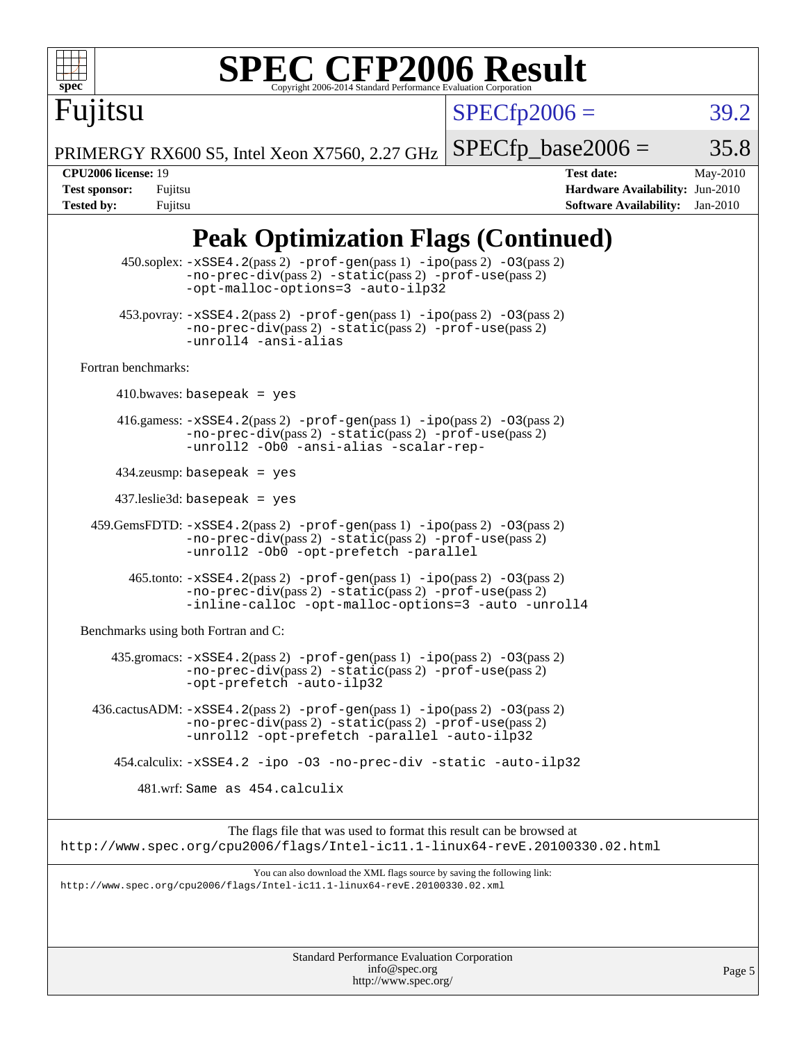

# **[SPEC CFP2006 Result](http://www.spec.org/auto/cpu2006/Docs/result-fields.html#SPECCFP2006Result)**

 $SPECfp2006 = 39.2$  $SPECfp2006 = 39.2$ 

PRIMERGY RX600 S5, Intel Xeon X7560, 2.27 GHz  $SPECTp\_base2006 = 35.8$ 

Fujitsu

**[CPU2006 license:](http://www.spec.org/auto/cpu2006/Docs/result-fields.html#CPU2006license)** 19 **[Test date:](http://www.spec.org/auto/cpu2006/Docs/result-fields.html#Testdate)** May-2010 **[Test sponsor:](http://www.spec.org/auto/cpu2006/Docs/result-fields.html#Testsponsor)** Fujitsu **[Hardware Availability:](http://www.spec.org/auto/cpu2006/Docs/result-fields.html#HardwareAvailability)** Jun-2010 **[Tested by:](http://www.spec.org/auto/cpu2006/Docs/result-fields.html#Testedby)** Fujitsu **[Software Availability:](http://www.spec.org/auto/cpu2006/Docs/result-fields.html#SoftwareAvailability)** Jan-2010

## **[Peak Optimization Flags \(Continued\)](http://www.spec.org/auto/cpu2006/Docs/result-fields.html#PeakOptimizationFlags)**

|                                      | $450$ .soplex: $-xSSE4$ . $2(pass 2)$ -prof-gen(pass 1) -ipo(pass 2) -03(pass 2)<br>$-no\text{-prec-div}(pass 2)$ $-static(pass 2)$ $-prot\text{-use}(pass 2)$<br>-opt-malloc-options=3 -auto-ilp32   |
|--------------------------------------|-------------------------------------------------------------------------------------------------------------------------------------------------------------------------------------------------------|
|                                      | $453.$ povray: $-xSSE4.2(pass2)$ -prof-gen $(pass1)$ -ipo $(pass2)$ -03 $(pass2)$<br>$-no-prec-div(pass 2) -static(pass 2) -prof-use(pass 2)$<br>-unroll4 -ansi-alias                                 |
| Fortran benchmarks:                  |                                                                                                                                                                                                       |
|                                      | 410.bwaves: basepeak = $yes$                                                                                                                                                                          |
|                                      | 416.gamess: $-xSSE4$ . $2(pass 2)$ -prof-gen(pass 1) -ipo(pass 2) -03(pass 2)<br>-no-prec-div(pass 2) -static(pass 2) -prof-use(pass 2)<br>-unroll2 -Ob0 -ansi-alias -scalar-rep-                     |
|                                      | $434$ .zeusmp: basepeak = yes                                                                                                                                                                         |
|                                      | $437$ .leslie3d: basepeak = yes                                                                                                                                                                       |
|                                      | $459.GemsFDTD: -xSSE4.2(pass 2) -prof-gen(pass 1) -ipo(pass 2) -03(pass 2)$<br>$-no\text{-prec-div}(pass 2)$ $-static(pass 2)$ $-prot\text{-use}(pass 2)$<br>-unroll2 - 0b0 - opt-prefetch - parallel |
|                                      | $465$ .tonto: $-xSSE4$ . $2(pass 2)$ -prof-gen(pass 1) -ipo(pass 2) -03(pass 2)<br>-no-prec-div(pass 2) -static(pass 2) -prof-use(pass 2)<br>-inline-calloc -opt-malloc-options=3 -auto -unroll4      |
| Benchmarks using both Fortran and C: |                                                                                                                                                                                                       |
|                                      | $435$ .gromacs: $-xSSE4$ . 2(pass 2) $-prof-gen(pass 1) -ipo(pass 2) -03(pass 2)$<br>-no-prec-div(pass 2) -static(pass 2) -prof-use(pass 2)<br>-opt-prefetch -auto-ilp32                              |
|                                      | $436.cactusADM: -xSSE4.2(pass 2) -prof-gen(pass 1) -ipo(pass 2) -03(pass 2)$<br>-no-prec-div(pass 2) -static(pass 2) -prof-use(pass 2)<br>-unroll2 -opt-prefetch -parallel -auto-ilp32                |
|                                      | 454.calculix: -xSSE4.2 -ipo -03 -no-prec-div -static -auto-ilp32                                                                                                                                      |
|                                      | 481.wrf: Same as 454.calculix                                                                                                                                                                         |
|                                      | The flags file that was used to format this result can be browsed at<br>http://www.spec.org/cpu2006/flags/Intel-ic11.1-linux64-revE.20100330.02.html                                                  |
|                                      | You can also download the XML flags source by saving the following link:<br>http://www.spec.org/cpu2006/flags/Intel-ic11.1-linux64-revE.20100330.02.xml                                               |
|                                      |                                                                                                                                                                                                       |